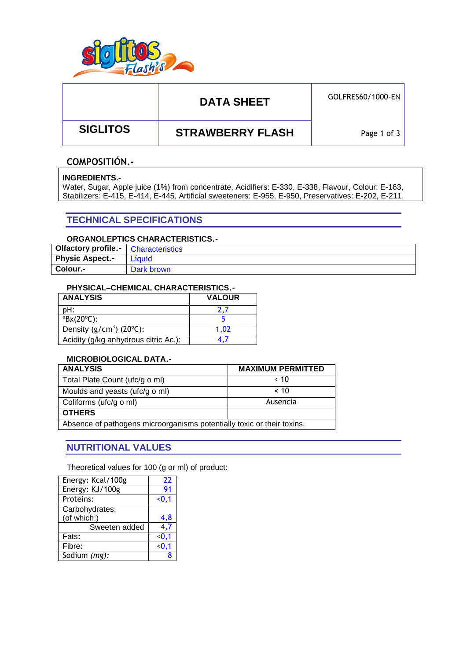

# DATA SHEET **GOLFRES60/1000-EN**

 **SIGLITOS STRAWBERRY FLASH**

Page 1 of 3

### **COMPOSITIÓN.-**

#### **INGREDIENTS.-**

Water, Sugar, Apple juice (1%) from concentrate, Acidifiers: E-330, E-338, Flavour, Colour: E-163, Stabilizers: E-415, E-414, E-445, Artificial sweeteners: E-955, E-950, Preservatives: E-202, E-211.

## **TECHNICAL SPECIFICATIONS**

### **ORGANOLEPTICS CHARACTERISTICS.-**

| <b>Olfactory profile. Characteristics</b> |            |
|-------------------------------------------|------------|
| <b>Physic Aspect.-</b>                    | Líquid     |
| Colour.-                                  | Dark brown |

#### **PHYSICAL–CHEMICAL CHARACTERISTICS.-**

| <b>ANALYSIS</b>                       | <b>VALOUR</b> |
|---------------------------------------|---------------|
| pH:                                   |               |
| $\textdegree$ Bx(20 $\textdegree$ C): |               |
| Density ( $g/cm3$ ) ( $20°C$ ):       | 1.02          |
| Acidity (g/kg anhydrous citric Ac.):  |               |

### **MICROBIOLOGICAL DATA.-**

| <b>ANALYSIS</b>                                                        | <b>MAXIMUM PERMITTED</b> |  |  |
|------------------------------------------------------------------------|--------------------------|--|--|
| Total Plate Count (ufc/g o ml)                                         | $~<$ 10                  |  |  |
| Moulds and yeasts (ufc/g o ml)                                         | ~< 10                    |  |  |
| Coliforms (ufc/g o ml)                                                 | Ausencia                 |  |  |
| <b>OTHERS</b>                                                          |                          |  |  |
| Absence of pathogens microorganisms potentially toxic or their toxins. |                          |  |  |

### **NUTRITIONAL VALUES**

Theoretical values for 100 (g or ml) of product:

| Energy: Kcal/100g | 22     |
|-------------------|--------|
| Energy: KJ/100g   | 91     |
| Proteins:         | $0.1$  |
| Carbohydrates:    |        |
| (of which:)       | 4.8    |
| Sweeten added     | 4,7    |
| Fats:             | < 0, 1 |
| Fibre:            | < 0, 1 |
| Sodium (mg):      |        |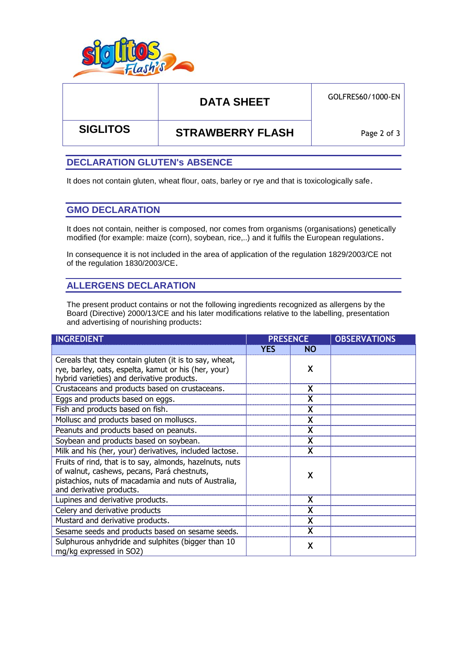

# DATA SHEET **GOLFRES60/1000-EN**

 **SIGLITOS STRAWBERRY FLASH**

Page 2 of 3

### **DECLARATION GLUTEN's ABSENCE**

It does not contain gluten, wheat flour, oats, barley or rye and that is toxicologically safe.

### **GMO DECLARATION**

It does not contain, neither is composed, nor comes from organisms (organisations) genetically modified (for example: maize (corn), soybean, rice,..) and it fulfils the European regulations.

In consequence it is not included in the area of application of the regulation 1829/2003/CE not of the regulation 1830/2003/CE.

## **ALLERGENS DECLARATION**

The present product contains or not the following ingredients recognized as allergens by the Board (Directive) 2000/13/CE and his later modifications relative to the labelling, presentation and advertising of nourishing products:

| <b>INGREDIENT</b>                                                                                                                                                                           | <b>PRESENCE</b> |           | <b>OBSERVATIONS</b> |  |
|---------------------------------------------------------------------------------------------------------------------------------------------------------------------------------------------|-----------------|-----------|---------------------|--|
|                                                                                                                                                                                             | <b>YES</b>      | <b>NO</b> |                     |  |
| Cereals that they contain gluten (it is to say, wheat,<br>rye, barley, oats, espelta, kamut or his (her, your)<br>hybrid varieties) and derivative products.                                |                 | X         |                     |  |
| Crustaceans and products based on crustaceans.                                                                                                                                              |                 | X         |                     |  |
| Eggs and products based on eggs.                                                                                                                                                            |                 | X         |                     |  |
| Fish and products based on fish.                                                                                                                                                            |                 |           |                     |  |
| Mollusc and products based on molluscs.                                                                                                                                                     |                 | X         |                     |  |
| Peanuts and products based on peanuts.                                                                                                                                                      |                 | X         |                     |  |
| Soybean and products based on soybean.                                                                                                                                                      |                 | X         |                     |  |
| Milk and his (her, your) derivatives, included lactose.                                                                                                                                     |                 |           |                     |  |
| Fruits of rind, that is to say, almonds, hazelnuts, nuts<br>of walnut, cashews, pecans, Pará chestnuts,<br>pistachios, nuts of macadamia and nuts of Australia,<br>and derivative products. |                 | χ         |                     |  |
| Lupines and derivative products.                                                                                                                                                            |                 | X         |                     |  |
| Celery and derivative products                                                                                                                                                              |                 |           |                     |  |
| Mustard and derivative products.                                                                                                                                                            |                 |           |                     |  |
| Sesame seeds and products based on sesame seeds.                                                                                                                                            |                 | X         |                     |  |
| Sulphurous anhydride and sulphites (bigger than 10<br>mg/kg expressed in SO2)                                                                                                               |                 | X         |                     |  |